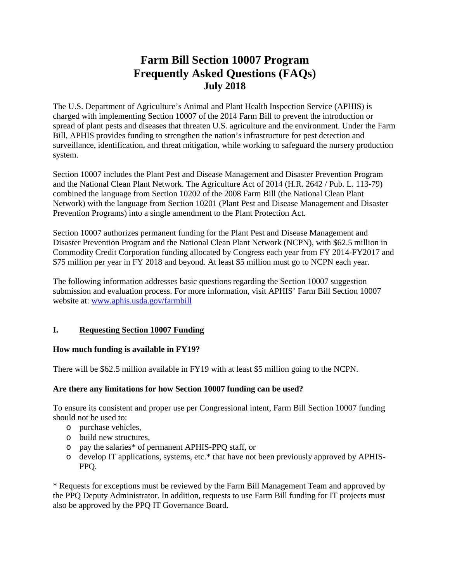# **Farm Bill Section 10007 Program Frequently Asked Questions (FAQs) July 2018**

The U.S. Department of Agriculture's Animal and Plant Health Inspection Service (APHIS) is charged with implementing Section 10007 of the 2014 Farm Bill to prevent the introduction or spread of plant pests and diseases that threaten U.S. agriculture and the environment. Under the Farm Bill, APHIS provides funding to strengthen the nation's infrastructure for pest detection and surveillance, identification, and threat mitigation, while working to safeguard the nursery production system.

Section 10007 includes the Plant Pest and Disease Management and Disaster Prevention Program and the National Clean Plant Network. The Agriculture Act of 2014 (H.R. 2642 / Pub. L. 113-79) combined the language from Section 10202 of the 2008 Farm Bill (the National Clean Plant Network) with the language from Section 10201 (Plant Pest and Disease Management and Disaster Prevention Programs) into a single amendment to the Plant Protection Act.

Section 10007 authorizes permanent funding for the Plant Pest and Disease Management and Disaster Prevention Program and the National Clean Plant Network (NCPN), with \$62.5 million in Commodity Credit Corporation funding allocated by Congress each year from FY 2014-FY2017 and \$75 million per year in FY 2018 and beyond. At least \$5 million must go to NCPN each year.

The following information addresses basic questions regarding the Section 10007 suggestion submission and evaluation process. For more information, visit APHIS' Farm Bill Section 10007 website at: [www.aphis.usda.gov/farmbill](http://www.aphis.usda.gov/farmbill)

# **I. Requesting Section 10007 Funding**

## **How much funding is available in FY19?**

There will be \$62.5 million available in FY19 with at least \$5 million going to the NCPN.

## **Are there any limitations for how Section 10007 funding can be used?**

To ensure its consistent and proper use per Congressional intent, Farm Bill Section 10007 funding should not be used to:

- o purchase vehicles,
- o build new structures,
- o pay the salaries\* of permanent APHIS-PPQ staff, or
- o develop IT applications, systems, etc.\* that have not been previously approved by APHIS-PPQ.

\* Requests for exceptions must be reviewed by the Farm Bill Management Team and approved by the PPQ Deputy Administrator. In addition, requests to use Farm Bill funding for IT projects must also be approved by the PPQ IT Governance Board.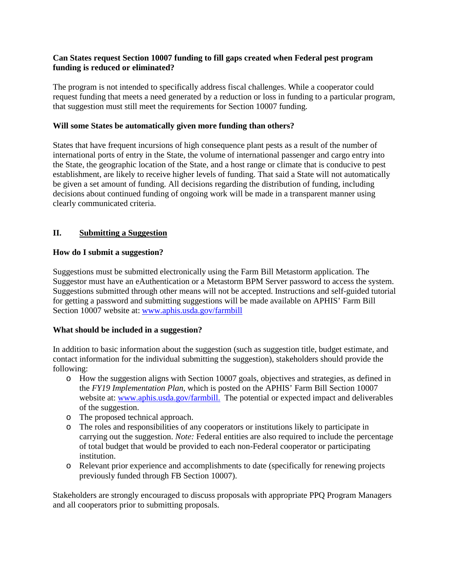## **Can States request Section 10007 funding to fill gaps created when Federal pest program funding is reduced or eliminated?**

The program is not intended to specifically address fiscal challenges. While a cooperator could request funding that meets a need generated by a reduction or loss in funding to a particular program, that suggestion must still meet the requirements for Section 10007 funding.

## **Will some States be automatically given more funding than others?**

States that have frequent incursions of high consequence plant pests as a result of the number of international ports of entry in the State, the volume of international passenger and cargo entry into the State, the geographic location of the State, and a host range or climate that is conducive to pest establishment, are likely to receive higher levels of funding. That said a State will not automatically be given a set amount of funding. All decisions regarding the distribution of funding, including decisions about continued funding of ongoing work will be made in a transparent manner using clearly communicated criteria.

# **II. Submitting a Suggestion**

## **How do I submit a suggestion?**

Suggestions must be submitted electronically using the Farm Bill Metastorm application. The Suggestor must have an eAuthentication or a Metastorm BPM Server password to access the system. Suggestions submitted through other means will not be accepted. Instructions and self-guided tutorial for getting a password and submitting suggestions will be made available on APHIS' Farm Bill Section 10007 website at: [www.aphis.usda.gov/farmbill](http://www.aphis.usda.gov/farmbill)

# **What should be included in a suggestion?**

In addition to basic information about the suggestion (such as suggestion title, budget estimate, and contact information for the individual submitting the suggestion), stakeholders should provide the following:

- o How the suggestion aligns with Section 10007 goals, objectives and strategies, as defined in the *FY19 Implementation Plan*, which is posted on the APHIS' Farm Bill Section 10007 website at: [www.aphis.usda.gov/farmbill.](http://www.aphis.usda.gov/farmbill) The potential or expected impact and deliverables of the suggestion.
- o The proposed technical approach.
- o The roles and responsibilities of any cooperators or institutions likely to participate in carrying out the suggestion. *Note:* Federal entities are also required to include the percentage of total budget that would be provided to each non-Federal cooperator or participating institution.
- o Relevant prior experience and accomplishments to date (specifically for renewing projects previously funded through FB Section 10007).

Stakeholders are strongly encouraged to discuss proposals with appropriate PPQ Program Managers and all cooperators prior to submitting proposals.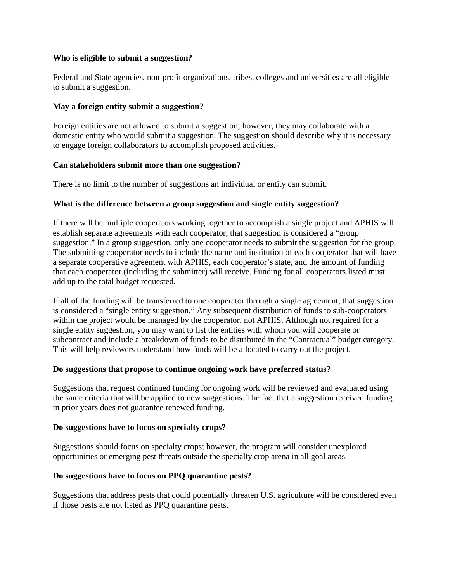#### **Who is eligible to submit a suggestion?**

Federal and State agencies, non-profit organizations, tribes, colleges and universities are all eligible to submit a suggestion.

#### **May a foreign entity submit a suggestion?**

Foreign entities are not allowed to submit a suggestion; however, they may collaborate with a domestic entity who would submit a suggestion. The suggestion should describe why it is necessary to engage foreign collaborators to accomplish proposed activities.

#### **Can stakeholders submit more than one suggestion?**

There is no limit to the number of suggestions an individual or entity can submit.

## **What is the difference between a group suggestion and single entity suggestion?**

If there will be multiple cooperators working together to accomplish a single project and APHIS will establish separate agreements with each cooperator, that suggestion is considered a "group suggestion." In a group suggestion, only one cooperator needs to submit the suggestion for the group. The submitting cooperator needs to include the name and institution of each cooperator that will have a separate cooperative agreement with APHIS, each cooperator's state, and the amount of funding that each cooperator (including the submitter) will receive. Funding for all cooperators listed must add up to the total budget requested.

If all of the funding will be transferred to one cooperator through a single agreement, that suggestion is considered a "single entity suggestion." Any subsequent distribution of funds to sub-cooperators within the project would be managed by the cooperator, not APHIS. Although not required for a single entity suggestion, you may want to list the entities with whom you will cooperate or subcontract and include a breakdown of funds to be distributed in the "Contractual" budget category. This will help reviewers understand how funds will be allocated to carry out the project.

#### **Do suggestions that propose to continue ongoing work have preferred status?**

Suggestions that request continued funding for ongoing work will be reviewed and evaluated using the same criteria that will be applied to new suggestions. The fact that a suggestion received funding in prior years does not guarantee renewed funding.

#### **Do suggestions have to focus on specialty crops?**

Suggestions should focus on specialty crops; however, the program will consider unexplored opportunities or emerging pest threats outside the specialty crop arena in all goal areas.

## **Do suggestions have to focus on PPQ quarantine pests?**

Suggestions that address pests that could potentially threaten U.S. agriculture will be considered even if those pests are not listed as PPQ quarantine pests.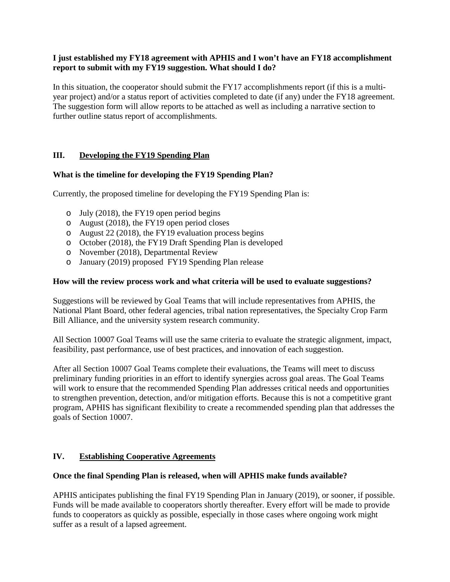## **I just established my FY18 agreement with APHIS and I won't have an FY18 accomplishment report to submit with my FY19 suggestion. What should I do?**

In this situation, the cooperator should submit the FY17 accomplishments report (if this is a multiyear project) and/or a status report of activities completed to date (if any) under the FY18 agreement. The suggestion form will allow reports to be attached as well as including a narrative section to further outline status report of accomplishments.

# **III. Developing the FY19 Spending Plan**

## **What is the timeline for developing the FY19 Spending Plan?**

Currently, the proposed timeline for developing the FY19 Spending Plan is:

- o July (2018), the FY19 open period begins
- o August (2018), the FY19 open period closes
- o August 22 (2018), the FY19 evaluation process begins
- o October (2018), the FY19 Draft Spending Plan is developed
- o November (2018), Departmental Review
- o January (2019) proposed FY19 Spending Plan release

#### **How will the review process work and what criteria will be used to evaluate suggestions?**

Suggestions will be reviewed by Goal Teams that will include representatives from APHIS, the National Plant Board, other federal agencies, tribal nation representatives, the Specialty Crop Farm Bill Alliance, and the university system research community.

All Section 10007 Goal Teams will use the same criteria to evaluate the strategic alignment, impact, feasibility, past performance, use of best practices, and innovation of each suggestion.

After all Section 10007 Goal Teams complete their evaluations, the Teams will meet to discuss preliminary funding priorities in an effort to identify synergies across goal areas. The Goal Teams will work to ensure that the recommended Spending Plan addresses critical needs and opportunities to strengthen prevention, detection, and/or mitigation efforts. Because this is not a competitive grant program, APHIS has significant flexibility to create a recommended spending plan that addresses the goals of Section 10007.

## **IV. Establishing Cooperative Agreements**

#### **Once the final Spending Plan is released, when will APHIS make funds available?**

APHIS anticipates publishing the final FY19 Spending Plan in January (2019), or sooner, if possible. Funds will be made available to cooperators shortly thereafter. Every effort will be made to provide funds to cooperators as quickly as possible, especially in those cases where ongoing work might suffer as a result of a lapsed agreement.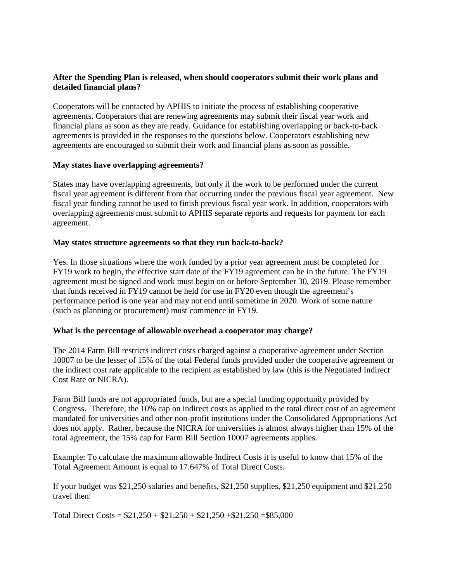## **After the Spending Plan is released, when should cooperators submit their work plans and detailed financial plans?**

Cooperators will be contacted by APHIS to initiate the process of establishing cooperative agreements. Cooperators that are renewing agreements may submit their fiscal year work and financial plans as soon as they are ready. Guidance for establishing overlapping or back-to-back agreements is provided in the responses to the questions below. Cooperators establishing new agreements are encouraged to submit their work and financial plans as soon as possible.

#### **May states have overlapping agreements?**

States may have overlapping agreements, but only if the work to be performed under the current fiscal year agreement is different from that occurring under the previous fiscal year agreement. New fiscal year funding cannot be used to finish previous fiscal year work. In addition, cooperators with overlapping agreements must submit to APHIS separate reports and requests for payment for each agreement.

#### **May states structure agreements so that they run back-to-back?**

Yes. In those situations where the work funded by a prior year agreement must be completed for FY19 work to begin, the effective start date of the FY19 agreement can be in the future. The FY19 agreement must be signed and work must begin on or before September 30, 2019. Please remember that funds received in FY19 cannot be held for use in FY20 even though the agreement's performance period is one year and may not end until sometime in 2020. Work of some nature (such as planning or procurement) must commence in FY19.

## **What is the percentage of allowable overhead a cooperator may charge?**

The 2014 Farm Bill restricts indirect costs charged against a cooperative agreement under Section 10007 to be the lesser of 15% of the total Federal funds provided under the cooperative agreement or the indirect cost rate applicable to the recipient as established by law (this is the Negotiated Indirect Cost Rate or NICRA).

Farm Bill funds are not appropriated funds, but are a special funding opportunity provided by Congress. Therefore, the 10% cap on indirect costs as applied to the total direct cost of an agreement mandated for universities and other non-profit institutions under the Consolidated Appropriations Act does not apply. Rather, because the NICRA for universities is almost always higher than 15% of the total agreement, the 15% cap for Farm Bill Section 10007 agreements applies.

Example: To calculate the maximum allowable Indirect Costs it is useful to know that 15% of the Total Agreement Amount is equal to 17.647% of Total Direct Costs.

If your budget was \$21,250 salaries and benefits, \$21,250 supplies, \$21,250 equipment and \$21,250 travel then:

Total Direct Costs =  $$21,250 + $21,250 + $21,250 + $21,250 + $21,250 = $85,000$